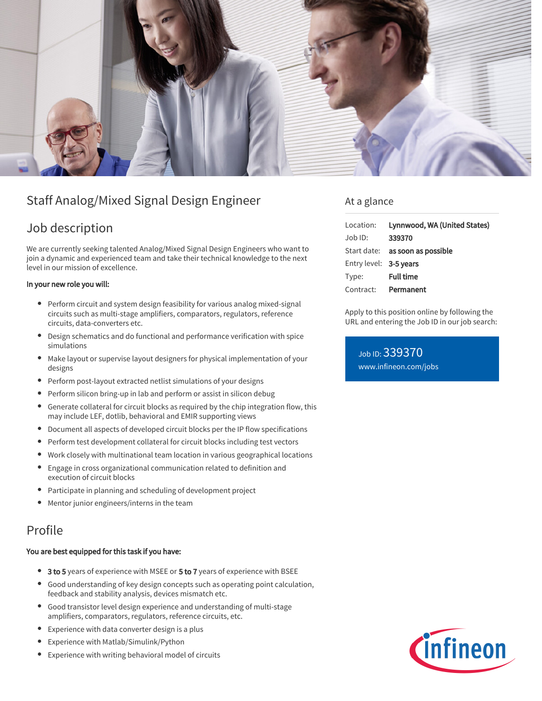

# Staff Analog/Mixed Signal Design Engineer

# Job description

We are currently seeking talented Analog/Mixed Signal Design Engineers who want to join a dynamic and experienced team and take their technical knowledge to the next level in our mission of excellence.

#### In your new role you will:

- Perform circuit and system design feasibility for various analog mixed-signal circuits such as multi-stage amplifiers, comparators, regulators, reference circuits, data-converters etc.
- Design schematics and do functional and performance verification with spice simulations
- Make layout or supervise layout designers for physical implementation of your designs
- Perform post-layout extracted netlist simulations of your designs
- Perform silicon bring-up in lab and perform or assist in silicon debug  $\bullet$
- Generate collateral for circuit blocks as required by the chip integration flow, this may include LEF, dotlib, behavioral and EMIR supporting views
- Document all aspects of developed circuit blocks per the IP flow specifications  $\bullet$
- Perform test development collateral for circuit blocks including test vectors
- $\bullet$ Work closely with multinational team location in various geographical locations
- Engage in cross organizational communication related to definition and  $\bullet$ execution of circuit blocks
- Participate in planning and scheduling of development project
- Mentor junior engineers/interns in the team

### Profile

### You are best equipped for this task if you have:

- <sup>o</sup> 3 to 5 years of experience with MSEE or 5 to 7 years of experience with BSEE
- Good understanding of key design concepts such as operating point calculation, feedback and stability analysis, devices mismatch etc.
- Good transistor level design experience and understanding of multi-stage amplifiers, comparators, regulators, reference circuits, etc.
- Experience with data converter design is a plus
- Experience with Matlab/Simulink/Python  $\bullet$
- Experience with writing behavioral model of circuits

### At a glance

| Location:              | Lynnwood, WA (United States)    |
|------------------------|---------------------------------|
| $Job$ ID:              | 339370                          |
|                        | Start date: as soon as possible |
| Entry level: 3-5 years |                                 |
| Type:                  | <b>Full time</b>                |
| Contract:              | Permanent                       |

Apply to this position online by following the URL and entering the Job ID in our job search:

Job ID: 339370 [www.infineon.com/jobs](https://www.infineon.com/jobs)